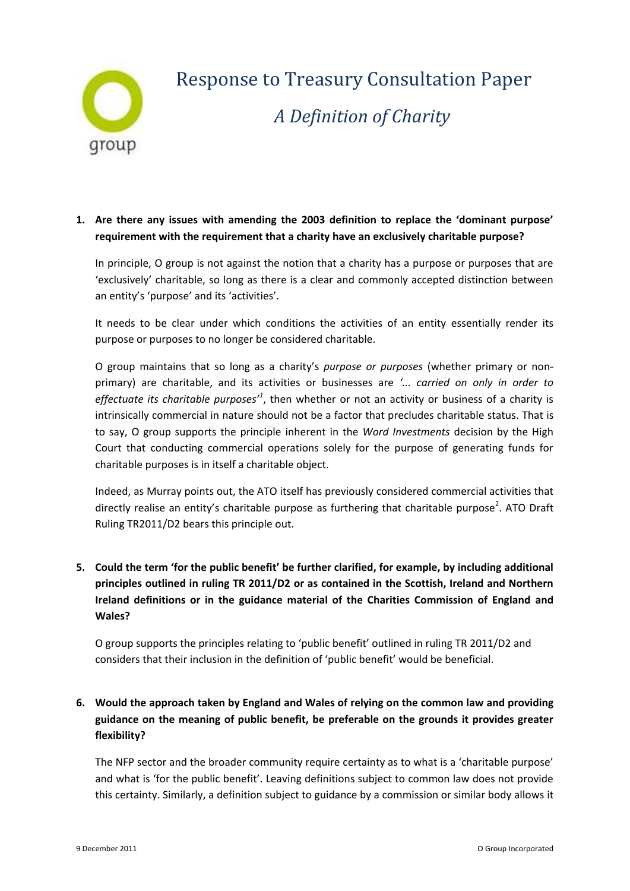

# Response to Treasury Consultation Paper *A Definition of Charity*

### **1. Are there any issues with amending the 2003 definition to replace the 'dominant purpose' requirement with the requirement that a charity have an exclusively charitable purpose?**

In principle, O group is not against the notion that a charity has a purpose or purposes that are 'exclusively' charitable, so long as there is a clear and commonly accepted distinction between an entity's 'purpose' and its 'activities'.

It needs to be clear under which conditions the activities of an entity essentially render its purpose or purposes to no longer be considered charitable.

O group maintains that so long as a charity's *purpose or purposes* (whether primary or nonprimary) are charitable, and its activities or businesses are *'... carried on only in order to*  effectuate its charitable purposes<sup>1</sup>, then whether or not an activity or business of a charity is intrinsically commercial in nature should not be a factor that precludes charitable status. That is to say, O group supports the principle inherent in the *Word Investments* decision by the High Court that conducting commercial operations solely for the purpose of generating funds for charitable purposes is in itself a charitable object.

Indeed, as Murray points out, the ATO itself has previously considered commercial activities that directly realise an entity's charitable purpose as furthering that charitable purpose<sup>2</sup>. ATO Draft Ruling TR2011/D2 bears this principle out.

# **5. Could the term 'for the public benefit' be further clarified, for example, by including additional principles outlined in ruling TR 2011/D2 or as contained in the Scottish, Ireland and Northern Ireland definitions or in the guidance material of the Charities Commission of England and Wales?**

O group supports the principles relating to 'public benefit' outlined in ruling TR 2011/D2 and considers that their inclusion in the definition of 'public benefit' would be beneficial.

# **6. Would the approach taken by England and Wales of relying on the common law and providing guidance on the meaning of public benefit, be preferable on the grounds it provides greater flexibility?**

The NFP sector and the broader community require certainty as to what is a 'charitable purpose' and what is 'for the public benefit'. Leaving definitions subject to common law does not provide this certainty. Similarly, a definition subject to guidance by a commission or similar body allows it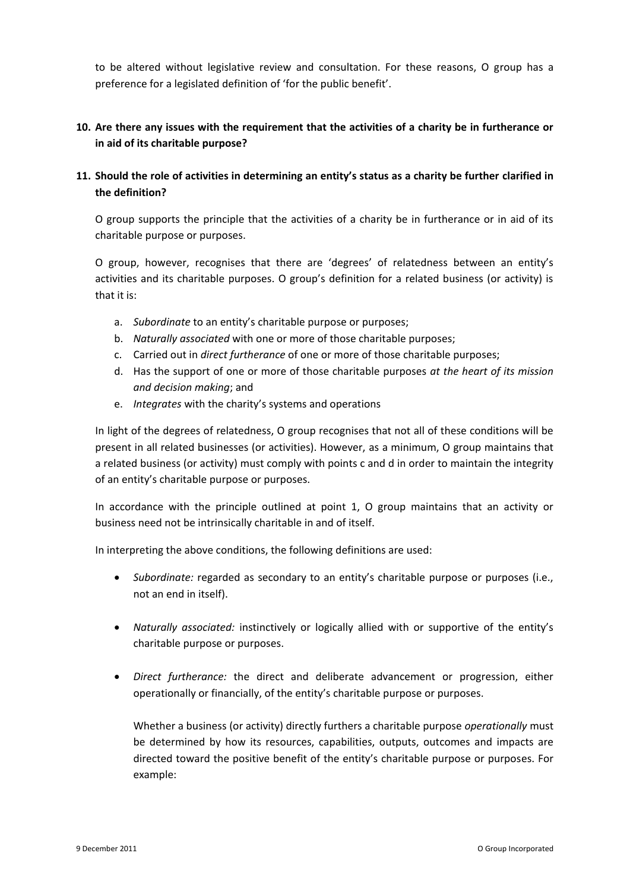to be altered without legislative review and consultation. For these reasons, O group has a preference for a legislated definition of 'for the public benefit'.

#### **10. Are there any issues with the requirement that the activities of a charity be in furtherance or in aid of its charitable purpose?**

#### **11. Should the role of activities in determining an entity's status as a charity be further clarified in the definition?**

O group supports the principle that the activities of a charity be in furtherance or in aid of its charitable purpose or purposes.

O group, however, recognises that there are 'degrees' of relatedness between an entity's activities and its charitable purposes. O group's definition for a related business (or activity) is that it is:

- a. *Subordinate* to an entity's charitable purpose or purposes;
- b. *Naturally associated* with one or more of those charitable purposes;
- c. Carried out in *direct furtherance* of one or more of those charitable purposes;
- d. Has the support of one or more of those charitable purposes *at the heart of its mission and decision making*; and
- e. *Integrates* with the charity's systems and operations

In light of the degrees of relatedness, O group recognises that not all of these conditions will be present in all related businesses (or activities). However, as a minimum, O group maintains that a related business (or activity) must comply with points c and d in order to maintain the integrity of an entity's charitable purpose or purposes.

In accordance with the principle outlined at point 1, O group maintains that an activity or business need not be intrinsically charitable in and of itself.

In interpreting the above conditions, the following definitions are used:

- *Subordinate:* regarded as secondary to an entity's charitable purpose or purposes (i.e., not an end in itself).
- *Naturally associated:* instinctively or logically allied with or supportive of the entity's charitable purpose or purposes.
- *Direct furtherance:* the direct and deliberate advancement or progression, either operationally or financially, of the entity's charitable purpose or purposes.

Whether a business (or activity) directly furthers a charitable purpose *operationally* must be determined by how its resources, capabilities, outputs, outcomes and impacts are directed toward the positive benefit of the entity's charitable purpose or purposes. For example: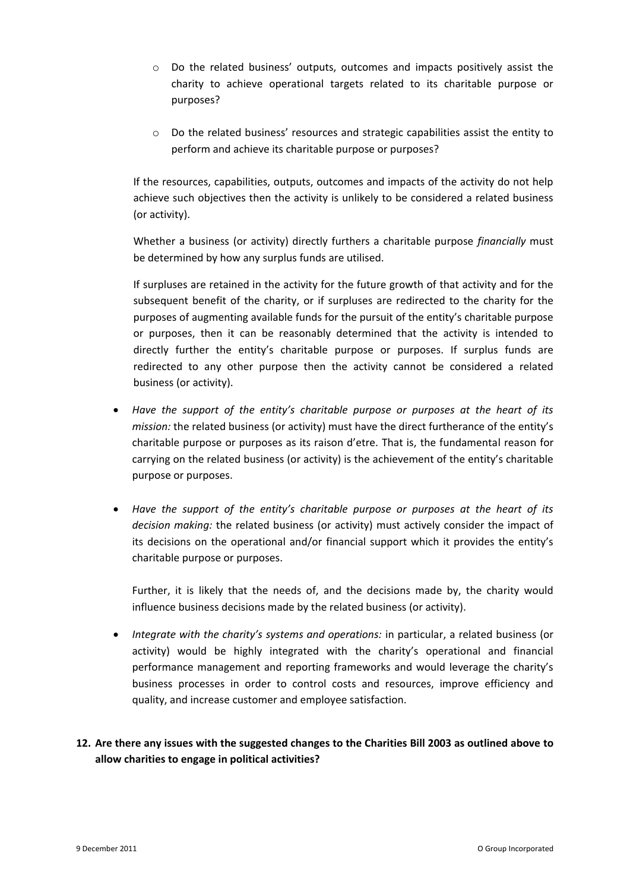- o Do the related business' outputs, outcomes and impacts positively assist the charity to achieve operational targets related to its charitable purpose or purposes?
- o Do the related business' resources and strategic capabilities assist the entity to perform and achieve its charitable purpose or purposes?

If the resources, capabilities, outputs, outcomes and impacts of the activity do not help achieve such objectives then the activity is unlikely to be considered a related business (or activity).

Whether a business (or activity) directly furthers a charitable purpose *financially* must be determined by how any surplus funds are utilised.

If surpluses are retained in the activity for the future growth of that activity and for the subsequent benefit of the charity, or if surpluses are redirected to the charity for the purposes of augmenting available funds for the pursuit of the entity's charitable purpose or purposes, then it can be reasonably determined that the activity is intended to directly further the entity's charitable purpose or purposes. If surplus funds are redirected to any other purpose then the activity cannot be considered a related business (or activity).

- *Have the support of the entity's charitable purpose or purposes at the heart of its mission:* the related business (or activity) must have the direct furtherance of the entity's charitable purpose or purposes as its raison d'etre. That is, the fundamental reason for carrying on the related business (or activity) is the achievement of the entity's charitable purpose or purposes.
- *Have the support of the entity's charitable purpose or purposes at the heart of its decision making:* the related business (or activity) must actively consider the impact of its decisions on the operational and/or financial support which it provides the entity's charitable purpose or purposes.

Further, it is likely that the needs of, and the decisions made by, the charity would influence business decisions made by the related business (or activity).

 *Integrate with the charity's systems and operations:* in particular, a related business (or activity) would be highly integrated with the charity's operational and financial performance management and reporting frameworks and would leverage the charity's business processes in order to control costs and resources, improve efficiency and quality, and increase customer and employee satisfaction.

## **12. Are there any issues with the suggested changes to the Charities Bill 2003 as outlined above to allow charities to engage in political activities?**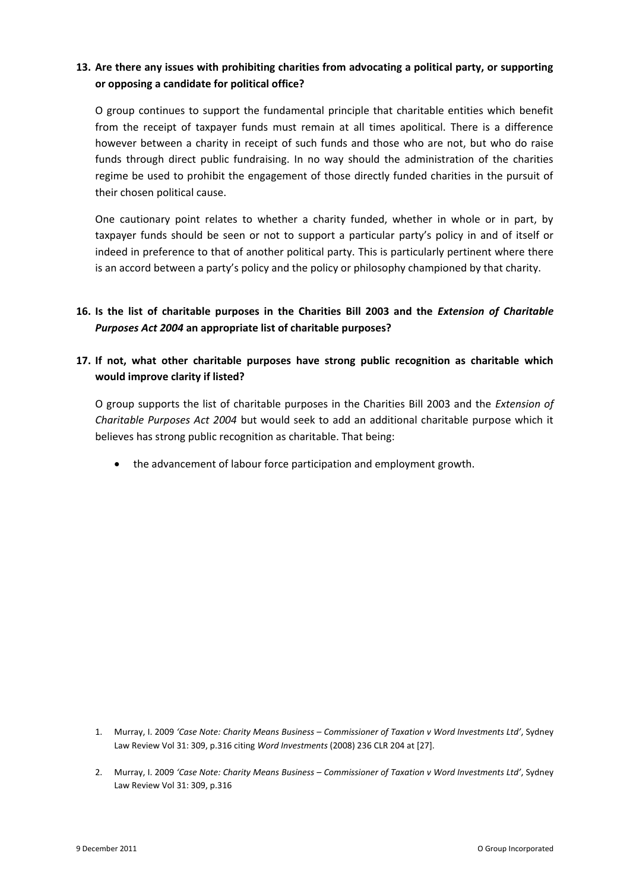#### **13. Are there any issues with prohibiting charities from advocating a political party, or supporting or opposing a candidate for political office?**

O group continues to support the fundamental principle that charitable entities which benefit from the receipt of taxpayer funds must remain at all times apolitical. There is a difference however between a charity in receipt of such funds and those who are not, but who do raise funds through direct public fundraising. In no way should the administration of the charities regime be used to prohibit the engagement of those directly funded charities in the pursuit of their chosen political cause.

One cautionary point relates to whether a charity funded, whether in whole or in part, by taxpayer funds should be seen or not to support a particular party's policy in and of itself or indeed in preference to that of another political party. This is particularly pertinent where there is an accord between a party's policy and the policy or philosophy championed by that charity.

## **16. Is the list of charitable purposes in the Charities Bill 2003 and the** *Extension of Charitable Purposes Act 2004* **an appropriate list of charitable purposes?**

#### **17. If not, what other charitable purposes have strong public recognition as charitable which would improve clarity if listed?**

O group supports the list of charitable purposes in the Charities Bill 2003 and the *Extension of Charitable Purposes Act 2004* but would seek to add an additional charitable purpose which it believes has strong public recognition as charitable. That being:

the advancement of labour force participation and employment growth.

- 1. Murray, I. 2009 *'Case Note: Charity Means Business – Commissioner of Taxation v Word Investments Ltd'*, Sydney Law Review Vol 31: 309, p.316 citing *Word Investments* (2008) 236 CLR 204 at [27].
- 2. Murray, I. 2009 *'Case Note: Charity Means Business – Commissioner of Taxation v Word Investments Ltd'*, Sydney Law Review Vol 31: 309, p.316